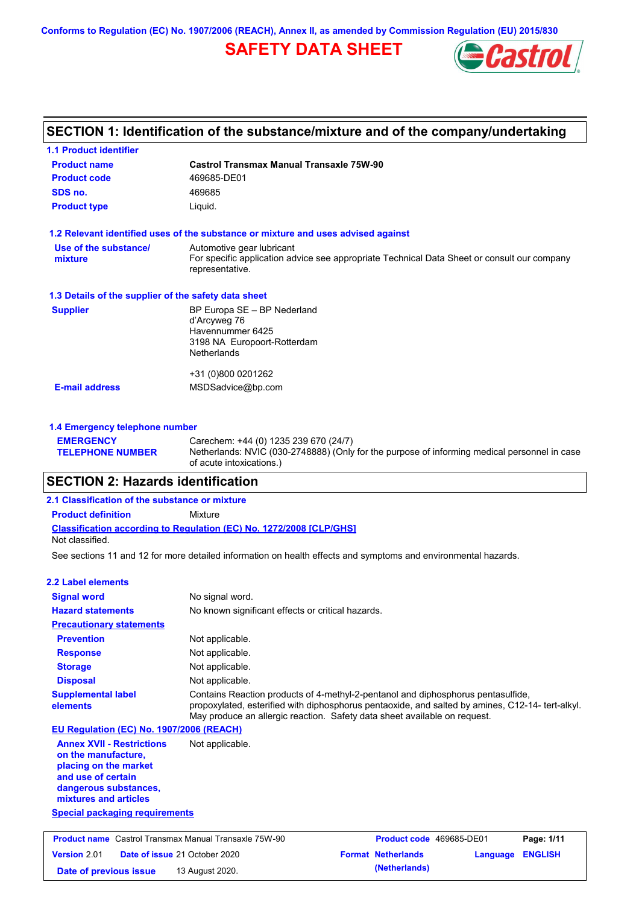**Conforms to Regulation (EC) No. 1907/2006 (REACH), Annex II, as amended by Commission Regulation (EU) 2015/830**

# **SAFETY DATA SHEET**



# **SECTION 1: Identification of the substance/mixture and of the company/undertaking**

| <b>1.1 Product identifier</b>                                          |                                                                                                                |  |  |  |
|------------------------------------------------------------------------|----------------------------------------------------------------------------------------------------------------|--|--|--|
| <b>Castrol Transmax Manual Transaxle 75W-90</b><br><b>Product name</b> |                                                                                                                |  |  |  |
| <b>Product code</b><br>469685-DE01                                     |                                                                                                                |  |  |  |
| SDS no.<br>469685                                                      |                                                                                                                |  |  |  |
| <b>Product type</b>                                                    | Liquid.                                                                                                        |  |  |  |
|                                                                        | 1.2 Relevant identified uses of the substance or mixture and uses advised against                              |  |  |  |
| Use of the substance/                                                  | Automotive gear lubricant                                                                                      |  |  |  |
| mixture                                                                | For specific application advice see appropriate Technical Data Sheet or consult our company<br>representative. |  |  |  |
| 1.3 Details of the supplier of the safety data sheet                   |                                                                                                                |  |  |  |
| <b>Supplier</b>                                                        | BP Europa SE - BP Nederland                                                                                    |  |  |  |
|                                                                        | d'Arcyweg 76<br>Havennummer 6425                                                                               |  |  |  |
|                                                                        | 3198 NA Europoort-Rotterdam                                                                                    |  |  |  |
|                                                                        | <b>Netherlands</b>                                                                                             |  |  |  |
|                                                                        | +31 (0)800 0201262                                                                                             |  |  |  |
| <b>E-mail address</b>                                                  | MSDSadvice@bp.com                                                                                              |  |  |  |
|                                                                        |                                                                                                                |  |  |  |
| 1.4 Emergency telephone number                                         |                                                                                                                |  |  |  |

#### **TELEPHONE NUMBER** Netherlands: NVIC (030-2748888) (Only for the purpose of informing medical personnel in case of acute intoxications.)

# **SECTION 2: Hazards identification**

**EMERGENCY** 

### **Classification according to Regulation (EC) No. 1272/2008 [CLP/GHS] 2.1 Classification of the substance or mixture Product definition** Mixture Not classified.

See sections 11 and 12 for more detailed information on health effects and symptoms and environmental hazards.

Carechem: +44 (0) 1235 239 670 (24/7)

| 2.2 Label elements                                                                                                                                       |                                                                                                                                                                                                                                                                  |
|----------------------------------------------------------------------------------------------------------------------------------------------------------|------------------------------------------------------------------------------------------------------------------------------------------------------------------------------------------------------------------------------------------------------------------|
| <b>Signal word</b>                                                                                                                                       | No signal word.                                                                                                                                                                                                                                                  |
| <b>Hazard statements</b>                                                                                                                                 | No known significant effects or critical hazards.                                                                                                                                                                                                                |
| <b>Precautionary statements</b>                                                                                                                          |                                                                                                                                                                                                                                                                  |
| <b>Prevention</b>                                                                                                                                        | Not applicable.                                                                                                                                                                                                                                                  |
| <b>Response</b>                                                                                                                                          | Not applicable.                                                                                                                                                                                                                                                  |
| <b>Storage</b>                                                                                                                                           | Not applicable.                                                                                                                                                                                                                                                  |
| <b>Disposal</b>                                                                                                                                          | Not applicable.                                                                                                                                                                                                                                                  |
| <b>Supplemental label</b><br>elements                                                                                                                    | Contains Reaction products of 4-methyl-2-pentanol and diphosphorus pentasulfide,<br>propoxylated, esterified with diphosphorus pentaoxide, and salted by amines, C12-14-tert-alkyl.<br>May produce an allergic reaction. Safety data sheet available on request. |
| EU Regulation (EC) No. 1907/2006 (REACH)                                                                                                                 |                                                                                                                                                                                                                                                                  |
| <b>Annex XVII - Restrictions</b><br>on the manufacture.<br>placing on the market<br>and use of certain<br>dangerous substances,<br>mixtures and articles | Not applicable.                                                                                                                                                                                                                                                  |
| <b>Special packaging requirements</b>                                                                                                                    |                                                                                                                                                                                                                                                                  |
| <b>Product name</b> Castrol Transmax Manual Transaxle 75W-90                                                                                             | Product code 469685-DE01<br>Page: 1/11                                                                                                                                                                                                                           |
| Version 2.01                                                                                                                                             | Date of issue 21 October 2020<br><b>Format Netherlands</b><br><b>ENGLISH</b><br>Language                                                                                                                                                                         |
| Date of previous issue                                                                                                                                   | (Netherlands)<br>13 August 2020.                                                                                                                                                                                                                                 |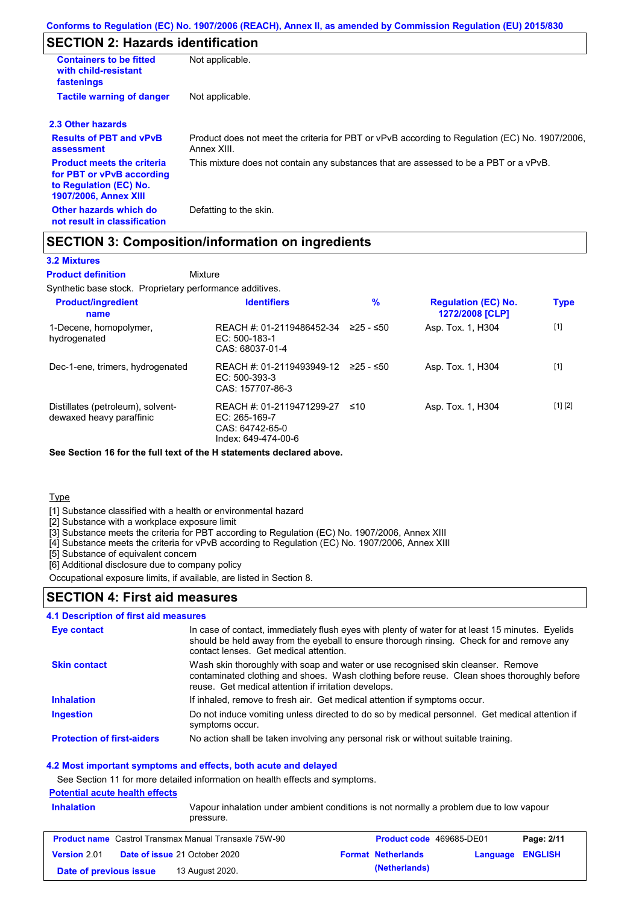# **SECTION 2: Hazards identification**

| <b>Containers to be fitted</b><br>with child-resistant<br>fastenings                                                     | Not applicable.                                                                                               |
|--------------------------------------------------------------------------------------------------------------------------|---------------------------------------------------------------------------------------------------------------|
| <b>Tactile warning of danger</b>                                                                                         | Not applicable.                                                                                               |
| 2.3 Other hazards                                                                                                        |                                                                                                               |
| <b>Results of PBT and vPvB</b><br>assessment                                                                             | Product does not meet the criteria for PBT or vPvB according to Regulation (EC) No. 1907/2006,<br>Annex XIII. |
| <b>Product meets the criteria</b><br>for PBT or vPvB according<br>to Regulation (EC) No.<br><b>1907/2006, Annex XIII</b> | This mixture does not contain any substances that are assessed to be a PBT or a vPvB.                         |
| Other hazards which do<br>not result in classification                                                                   | Defatting to the skin.                                                                                        |

# **SECTION 3: Composition/information on ingredients**

## **3.2 Mixtures**

Mixture **Product definition**

Synthetic base stock. Proprietary performance additives.

| <b>Product/ingredient</b><br>name                             | <b>Identifiers</b>                                                                     | $\%$      | <b>Regulation (EC) No.</b><br>1272/2008 [CLP] | <b>Type</b> |
|---------------------------------------------------------------|----------------------------------------------------------------------------------------|-----------|-----------------------------------------------|-------------|
| 1-Decene, homopolymer,<br>hydrogenated                        | REACH #: 01-2119486452-34<br>EC: 500-183-1<br>CAS: 68037-01-4                          | ≥25 - ≤50 | Asp. Tox. 1, H304                             | $[1]$       |
| Dec-1-ene, trimers, hydrogenated                              | REACH #: 01-2119493949-12<br>$EC: 500-393-3$<br>CAS: 157707-86-3                       | 225 - ≤50 | Asp. Tox. 1, H304                             | $[1]$       |
| Distillates (petroleum), solvent-<br>dewaxed heavy paraffinic | REACH #: 01-2119471299-27<br>$EC: 265-169-7$<br>CAS: 64742-65-0<br>Index: 649-474-00-6 | ≤10       | Asp. Tox. 1, H304                             | [1] [2]     |

**See Section 16 for the full text of the H statements declared above.**

**Type** 

[1] Substance classified with a health or environmental hazard

[2] Substance with a workplace exposure limit

[3] Substance meets the criteria for PBT according to Regulation (EC) No. 1907/2006, Annex XIII

[4] Substance meets the criteria for vPvB according to Regulation (EC) No. 1907/2006, Annex XIII

[5] Substance of equivalent concern

[6] Additional disclosure due to company policy

Occupational exposure limits, if available, are listed in Section 8.

## **SECTION 4: First aid measures**

#### **4.1 Description of first aid measures**

| Eye contact                       | In case of contact, immediately flush eyes with plenty of water for at least 15 minutes. Eyelids<br>should be held away from the eyeball to ensure thorough rinsing. Check for and remove any<br>contact lenses. Get medical attention. |
|-----------------------------------|-----------------------------------------------------------------------------------------------------------------------------------------------------------------------------------------------------------------------------------------|
| <b>Skin contact</b>               | Wash skin thoroughly with soap and water or use recognised skin cleanser. Remove<br>contaminated clothing and shoes. Wash clothing before reuse. Clean shoes thoroughly before<br>reuse. Get medical attention if irritation develops.  |
| <b>Inhalation</b>                 | If inhaled, remove to fresh air. Get medical attention if symptoms occur.                                                                                                                                                               |
| <b>Ingestion</b>                  | Do not induce vomiting unless directed to do so by medical personnel. Get medical attention if<br>symptoms occur.                                                                                                                       |
| <b>Protection of first-aiders</b> | No action shall be taken involving any personal risk or without suitable training.                                                                                                                                                      |

#### **4.2 Most important symptoms and effects, both acute and delayed**

See Section 11 for more detailed information on health effects and symptoms.

## **Potential acute health effects**

| <b>Inhalation</b>      | <u>. Utuntua auatu nuaiti unuutu</u><br>pressure.            | Vapour inhalation under ambient conditions is not normally a problem due to low vapour |                         |  |
|------------------------|--------------------------------------------------------------|----------------------------------------------------------------------------------------|-------------------------|--|
|                        | <b>Product name</b> Castrol Transmax Manual Transaxle 75W-90 | <b>Product code</b> 469685-DE01                                                        | Page: 2/11              |  |
| <b>Version 2.01</b>    | <b>Date of issue 21 October 2020</b>                         | <b>Format Netherlands</b>                                                              | <b>Language ENGLISH</b> |  |
| Date of previous issue | 13 August 2020.                                              | (Netherlands)                                                                          |                         |  |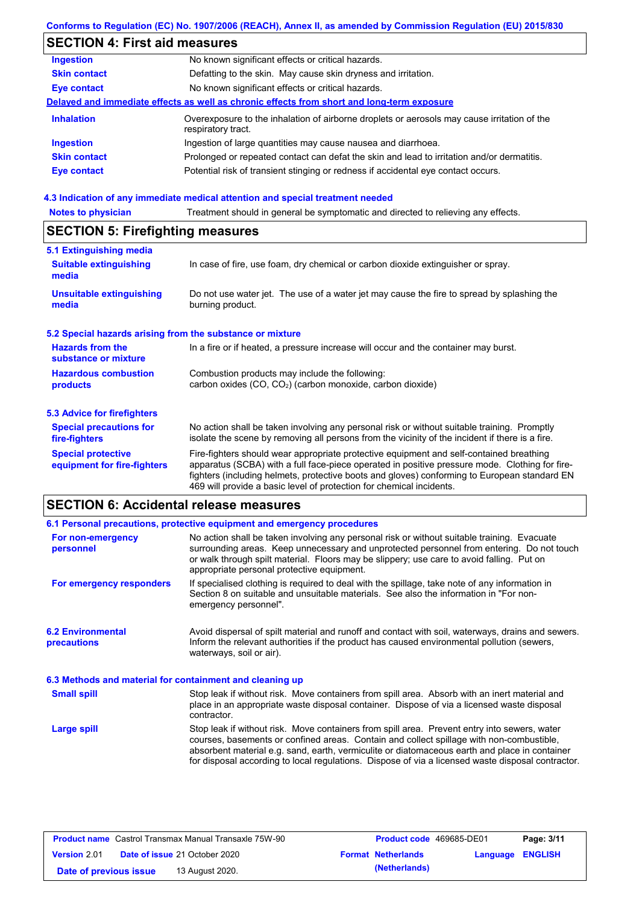## **Conforms to Regulation (EC) No. 1907/2006 (REACH), Annex II, as amended by Commission Regulation (EU) 2015/830**

# **SECTION 4: First aid measures**

| <b>Ingestion</b>    | No known significant effects or critical hazards.                                                                 |
|---------------------|-------------------------------------------------------------------------------------------------------------------|
| <b>Skin contact</b> | Defatting to the skin. May cause skin dryness and irritation.                                                     |
| <b>Eye contact</b>  | No known significant effects or critical hazards.                                                                 |
|                     | Delayed and immediate effects as well as chronic effects from short and long-term exposure                        |
| <b>Inhalation</b>   | Overexposure to the inhalation of airborne droplets or aerosols may cause irritation of the<br>respiratory tract. |
| <b>Ingestion</b>    | Ingestion of large quantities may cause nausea and diarrhoea.                                                     |
| <b>Skin contact</b> | Prolonged or repeated contact can defat the skin and lead to irritation and/or dermatitis.                        |
| <b>Eye contact</b>  | Potential risk of transient stinging or redness if accidental eye contact occurs.                                 |
|                     |                                                                                                                   |

# **4.3 Indication of any immediate medical attention and special treatment needed<br>Notes to physician** Treatment should in general be symptomatic and directed to relieving

| <b>Notes to physician</b>                                                                                                                                                                                                                                                                                                                                                                                                     | Treatment should in general be symptomatic and directed to relieving any effects.                                                                                                              |  |  |  |
|-------------------------------------------------------------------------------------------------------------------------------------------------------------------------------------------------------------------------------------------------------------------------------------------------------------------------------------------------------------------------------------------------------------------------------|------------------------------------------------------------------------------------------------------------------------------------------------------------------------------------------------|--|--|--|
| <b>SECTION 5: Firefighting measures</b>                                                                                                                                                                                                                                                                                                                                                                                       |                                                                                                                                                                                                |  |  |  |
| 5.1 Extinguishing media                                                                                                                                                                                                                                                                                                                                                                                                       |                                                                                                                                                                                                |  |  |  |
| <b>Suitable extinguishing</b><br>media                                                                                                                                                                                                                                                                                                                                                                                        | In case of fire, use foam, dry chemical or carbon dioxide extinguisher or spray.                                                                                                               |  |  |  |
| <b>Unsuitable extinguishing</b><br>media                                                                                                                                                                                                                                                                                                                                                                                      | Do not use water jet. The use of a water jet may cause the fire to spread by splashing the<br>burning product.                                                                                 |  |  |  |
| 5.2 Special hazards arising from the substance or mixture                                                                                                                                                                                                                                                                                                                                                                     |                                                                                                                                                                                                |  |  |  |
| <b>Hazards from the</b><br>In a fire or if heated, a pressure increase will occur and the container may burst.<br>substance or mixture                                                                                                                                                                                                                                                                                        |                                                                                                                                                                                                |  |  |  |
| <b>Hazardous combustion</b><br>Combustion products may include the following:<br>carbon oxides (CO, CO <sub>2</sub> ) (carbon monoxide, carbon dioxide)<br>products                                                                                                                                                                                                                                                           |                                                                                                                                                                                                |  |  |  |
| 5.3 Advice for firefighters                                                                                                                                                                                                                                                                                                                                                                                                   |                                                                                                                                                                                                |  |  |  |
| <b>Special precautions for</b><br>fire-fighters                                                                                                                                                                                                                                                                                                                                                                               | No action shall be taken involving any personal risk or without suitable training. Promptly<br>isolate the scene by removing all persons from the vicinity of the incident if there is a fire. |  |  |  |
| Fire-fighters should wear appropriate protective equipment and self-contained breathing<br><b>Special protective</b><br>apparatus (SCBA) with a full face-piece operated in positive pressure mode. Clothing for fire-<br>equipment for fire-fighters<br>fighters (including helmets, protective boots and gloves) conforming to European standard EN<br>469 will provide a basic level of protection for chemical incidents. |                                                                                                                                                                                                |  |  |  |

# **SECTION 6: Accidental release measures**

|                                                          | 6.1 Personal precautions, protective equipment and emergency procedures                                                                                                                                                                                                                                                                                                                        |  |  |
|----------------------------------------------------------|------------------------------------------------------------------------------------------------------------------------------------------------------------------------------------------------------------------------------------------------------------------------------------------------------------------------------------------------------------------------------------------------|--|--|
| For non-emergency<br>personnel                           | No action shall be taken involving any personal risk or without suitable training. Evacuate<br>surrounding areas. Keep unnecessary and unprotected personnel from entering. Do not touch<br>or walk through spilt material. Floors may be slippery; use care to avoid falling. Put on<br>appropriate personal protective equipment.                                                            |  |  |
| For emergency responders                                 | If specialised clothing is required to deal with the spillage, take note of any information in<br>Section 8 on suitable and unsuitable materials. See also the information in "For non-<br>emergency personnel".                                                                                                                                                                               |  |  |
| <b>6.2 Environmental</b><br>precautions                  | Avoid dispersal of spilt material and runoff and contact with soil, waterways, drains and sewers.<br>Inform the relevant authorities if the product has caused environmental pollution (sewers,<br>waterways, soil or air).                                                                                                                                                                    |  |  |
| 6.3 Methods and material for containment and cleaning up |                                                                                                                                                                                                                                                                                                                                                                                                |  |  |
| <b>Small spill</b>                                       | Stop leak if without risk. Move containers from spill area. Absorb with an inert material and<br>place in an appropriate waste disposal container. Dispose of via a licensed waste disposal<br>contractor.                                                                                                                                                                                     |  |  |
| Large spill                                              | Stop leak if without risk. Move containers from spill area. Prevent entry into sewers, water<br>courses, basements or confined areas. Contain and collect spillage with non-combustible,<br>absorbent material e.g. sand, earth, vermiculite or diatomaceous earth and place in container<br>for disposal according to local regulations. Dispose of via a licensed waste disposal contractor. |  |  |

| <b>Product name</b> Castrol Transmax Manual Transaxle 75W-90 |                                      | <b>Product code</b> 469685-DE01 |                           | Page: 3/11              |  |
|--------------------------------------------------------------|--------------------------------------|---------------------------------|---------------------------|-------------------------|--|
| <b>Version 2.01</b>                                          | <b>Date of issue 21 October 2020</b> |                                 | <b>Format Netherlands</b> | <b>Language ENGLISH</b> |  |
| Date of previous issue                                       | 13 August 2020.                      |                                 | (Netherlands)             |                         |  |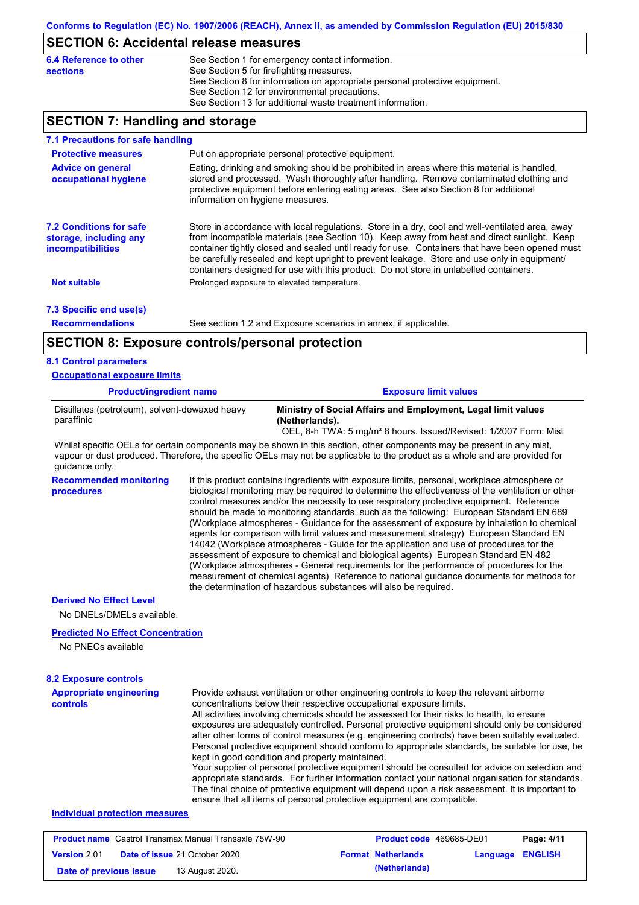## **SECTION 6: Accidental release measures**

| 6.4 Reference to other | See Section 1 for emergency contact information.                            |
|------------------------|-----------------------------------------------------------------------------|
| sections               | See Section 5 for firefighting measures.                                    |
|                        | See Section 8 for information on appropriate personal protective equipment. |
|                        | See Section 12 for environmental precautions.                               |
|                        | See Section 13 for additional waste treatment information.                  |
|                        |                                                                             |

# **SECTION 7: Handling and storage**

| 7.1 Precautions for safe handling                                                    |                                                                                                                                                                                                                                                                                                                  |                                                                                                                                                                                                                                                                                                                                                                                                                                                                                          |  |  |
|--------------------------------------------------------------------------------------|------------------------------------------------------------------------------------------------------------------------------------------------------------------------------------------------------------------------------------------------------------------------------------------------------------------|------------------------------------------------------------------------------------------------------------------------------------------------------------------------------------------------------------------------------------------------------------------------------------------------------------------------------------------------------------------------------------------------------------------------------------------------------------------------------------------|--|--|
| <b>Protective measures</b>                                                           | Put on appropriate personal protective equipment.                                                                                                                                                                                                                                                                |                                                                                                                                                                                                                                                                                                                                                                                                                                                                                          |  |  |
| <b>Advice on general</b><br>occupational hygiene                                     | Eating, drinking and smoking should be prohibited in areas where this material is handled,<br>stored and processed. Wash thoroughly after handling. Remove contaminated clothing and<br>protective equipment before entering eating areas. See also Section 8 for additional<br>information on hygiene measures. |                                                                                                                                                                                                                                                                                                                                                                                                                                                                                          |  |  |
| <b>7.2 Conditions for safe</b><br>storage, including any<br><i>incompatibilities</i> |                                                                                                                                                                                                                                                                                                                  | Store in accordance with local regulations. Store in a dry, cool and well-ventilated area, away<br>from incompatible materials (see Section 10). Keep away from heat and direct sunlight. Keep<br>container tightly closed and sealed until ready for use. Containers that have been opened must<br>be carefully resealed and kept upright to prevent leakage. Store and use only in equipment/<br>containers designed for use with this product. Do not store in unlabelled containers. |  |  |
| <b>Not suitable</b>                                                                  | Prolonged exposure to elevated temperature.                                                                                                                                                                                                                                                                      |                                                                                                                                                                                                                                                                                                                                                                                                                                                                                          |  |  |
| 7.3 Specific end use(s)                                                              |                                                                                                                                                                                                                                                                                                                  |                                                                                                                                                                                                                                                                                                                                                                                                                                                                                          |  |  |
| <b>Recommendations</b>                                                               |                                                                                                                                                                                                                                                                                                                  | See section 1.2 and Exposure scenarios in annex, if applicable.                                                                                                                                                                                                                                                                                                                                                                                                                          |  |  |
| <b>SECTION 8: Exposure controls/personal protection</b>                              |                                                                                                                                                                                                                                                                                                                  |                                                                                                                                                                                                                                                                                                                                                                                                                                                                                          |  |  |
| <b>8.1 Control parameters</b>                                                        |                                                                                                                                                                                                                                                                                                                  |                                                                                                                                                                                                                                                                                                                                                                                                                                                                                          |  |  |
| <b>Occupational exposure limits</b>                                                  |                                                                                                                                                                                                                                                                                                                  |                                                                                                                                                                                                                                                                                                                                                                                                                                                                                          |  |  |
| <b>Product/ingredient name</b>                                                       |                                                                                                                                                                                                                                                                                                                  | <b>Exposure limit values</b>                                                                                                                                                                                                                                                                                                                                                                                                                                                             |  |  |
| Distillates (petroleum), solvent-dewaxed heavy                                       |                                                                                                                                                                                                                                                                                                                  | Ministry of Social Affairs and Employment, Legal limit values                                                                                                                                                                                                                                                                                                                                                                                                                            |  |  |

**(Netherlands).** OEL, 8-h TWA: 5 mg/m<sup>3</sup> 8 hours. Issued/Revised: 1/2007 Form: Mist

Whilst specific OELs for certain components may be shown in this section, other components may be present in any mist, vapour or dust produced. Therefore, the specific OELs may not be applicable to the product as a whole and are provided for guidance only.

**Recommended monitoring procedures** If this product contains ingredients with exposure limits, personal, workplace atmosphere or biological monitoring may be required to determine the effectiveness of the ventilation or other control measures and/or the necessity to use respiratory protective equipment. Reference should be made to monitoring standards, such as the following: European Standard EN 689 (Workplace atmospheres - Guidance for the assessment of exposure by inhalation to chemical agents for comparison with limit values and measurement strategy) European Standard EN 14042 (Workplace atmospheres - Guide for the application and use of procedures for the assessment of exposure to chemical and biological agents) European Standard EN 482 (Workplace atmospheres - General requirements for the performance of procedures for the measurement of chemical agents) Reference to national guidance documents for methods for the determination of hazardous substances will also be required.

#### **Derived No Effect Level**

paraffinic

No DNELs/DMELs available.

#### **Predicted No Effect Concentration**

No PNECs available

| <b>8.2 Exposure controls</b>               |                                                                                                                                                                                                                                                                                                                                                                                                                                                                                                                                                                                                                                                                                                                                                                                                                                                                                                                                                                                                         |
|--------------------------------------------|---------------------------------------------------------------------------------------------------------------------------------------------------------------------------------------------------------------------------------------------------------------------------------------------------------------------------------------------------------------------------------------------------------------------------------------------------------------------------------------------------------------------------------------------------------------------------------------------------------------------------------------------------------------------------------------------------------------------------------------------------------------------------------------------------------------------------------------------------------------------------------------------------------------------------------------------------------------------------------------------------------|
| <b>Appropriate engineering</b><br>controls | Provide exhaust ventilation or other engineering controls to keep the relevant airborne<br>concentrations below their respective occupational exposure limits.<br>All activities involving chemicals should be assessed for their risks to health, to ensure<br>exposures are adequately controlled. Personal protective equipment should only be considered<br>after other forms of control measures (e.g. engineering controls) have been suitably evaluated.<br>Personal protective equipment should conform to appropriate standards, be suitable for use, be<br>kept in good condition and properly maintained.<br>Your supplier of personal protective equipment should be consulted for advice on selection and<br>appropriate standards. For further information contact your national organisation for standards.<br>The final choice of protective equipment will depend upon a risk assessment. It is important to<br>ensure that all items of personal protective equipment are compatible. |
| <b>Individual protection measures</b>      |                                                                                                                                                                                                                                                                                                                                                                                                                                                                                                                                                                                                                                                                                                                                                                                                                                                                                                                                                                                                         |

### **Product name** Castrol Transmax Manual Transaxle 75W-90 **Product code** 469685-DE01 **Page: 4/11 Version** 2.01 **Date of issue** 21 October 2020 **Format Netherlands Language ENGLISH Date of previous issue 13 August 2020. (Netherlands)** (**Netherlands**)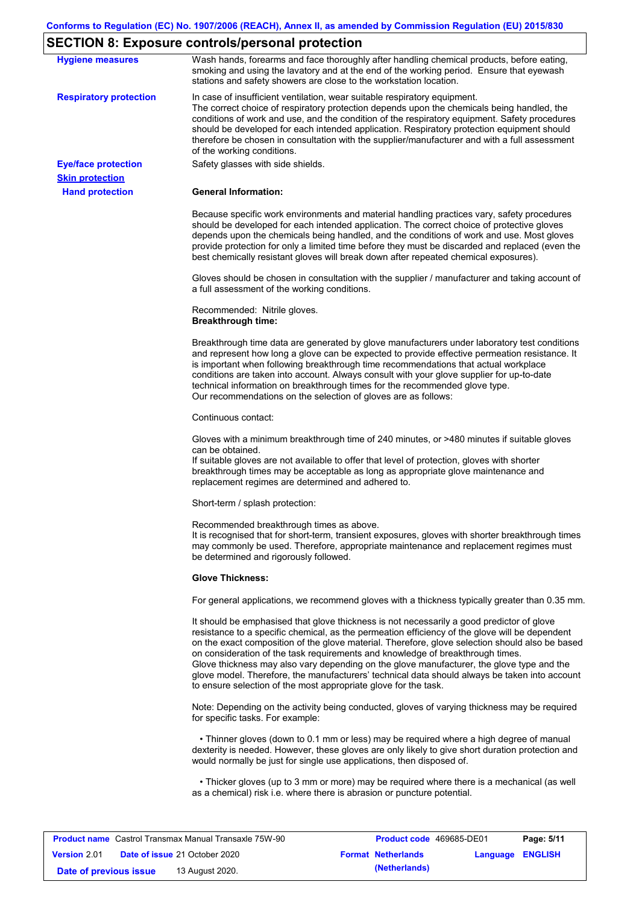# **SECTION 8: Exposure controls/personal protection**

| <b>Hygiene measures</b>       | Wash hands, forearms and face thoroughly after handling chemical products, before eating,<br>smoking and using the lavatory and at the end of the working period. Ensure that eyewash<br>stations and safety showers are close to the workstation location.                                                                                                                                                                                                                                                                                                                                                                                       |
|-------------------------------|---------------------------------------------------------------------------------------------------------------------------------------------------------------------------------------------------------------------------------------------------------------------------------------------------------------------------------------------------------------------------------------------------------------------------------------------------------------------------------------------------------------------------------------------------------------------------------------------------------------------------------------------------|
| <b>Respiratory protection</b> | In case of insufficient ventilation, wear suitable respiratory equipment.<br>The correct choice of respiratory protection depends upon the chemicals being handled, the<br>conditions of work and use, and the condition of the respiratory equipment. Safety procedures<br>should be developed for each intended application. Respiratory protection equipment should<br>therefore be chosen in consultation with the supplier/manufacturer and with a full assessment<br>of the working conditions.                                                                                                                                             |
| <b>Eye/face protection</b>    | Safety glasses with side shields.                                                                                                                                                                                                                                                                                                                                                                                                                                                                                                                                                                                                                 |
| <b>Skin protection</b>        |                                                                                                                                                                                                                                                                                                                                                                                                                                                                                                                                                                                                                                                   |
| <b>Hand protection</b>        | <b>General Information:</b>                                                                                                                                                                                                                                                                                                                                                                                                                                                                                                                                                                                                                       |
|                               | Because specific work environments and material handling practices vary, safety procedures<br>should be developed for each intended application. The correct choice of protective gloves<br>depends upon the chemicals being handled, and the conditions of work and use. Most gloves<br>provide protection for only a limited time before they must be discarded and replaced (even the<br>best chemically resistant gloves will break down after repeated chemical exposures).                                                                                                                                                                  |
|                               | Gloves should be chosen in consultation with the supplier / manufacturer and taking account of<br>a full assessment of the working conditions.                                                                                                                                                                                                                                                                                                                                                                                                                                                                                                    |
|                               | Recommended: Nitrile gloves.<br><b>Breakthrough time:</b>                                                                                                                                                                                                                                                                                                                                                                                                                                                                                                                                                                                         |
|                               | Breakthrough time data are generated by glove manufacturers under laboratory test conditions<br>and represent how long a glove can be expected to provide effective permeation resistance. It<br>is important when following breakthrough time recommendations that actual workplace<br>conditions are taken into account. Always consult with your glove supplier for up-to-date<br>technical information on breakthrough times for the recommended glove type.<br>Our recommendations on the selection of gloves are as follows:                                                                                                                |
|                               | Continuous contact:                                                                                                                                                                                                                                                                                                                                                                                                                                                                                                                                                                                                                               |
|                               | Gloves with a minimum breakthrough time of 240 minutes, or >480 minutes if suitable gloves<br>can be obtained.<br>If suitable gloves are not available to offer that level of protection, gloves with shorter<br>breakthrough times may be acceptable as long as appropriate glove maintenance and<br>replacement regimes are determined and adhered to.                                                                                                                                                                                                                                                                                          |
|                               | Short-term / splash protection:                                                                                                                                                                                                                                                                                                                                                                                                                                                                                                                                                                                                                   |
|                               | Recommended breakthrough times as above.<br>It is recognised that for short-term, transient exposures, gloves with shorter breakthrough times<br>may commonly be used. Therefore, appropriate maintenance and replacement regimes must<br>be determined and rigorously followed.                                                                                                                                                                                                                                                                                                                                                                  |
|                               | <b>Glove Thickness:</b>                                                                                                                                                                                                                                                                                                                                                                                                                                                                                                                                                                                                                           |
|                               | For general applications, we recommend gloves with a thickness typically greater than 0.35 mm.                                                                                                                                                                                                                                                                                                                                                                                                                                                                                                                                                    |
|                               | It should be emphasised that glove thickness is not necessarily a good predictor of glove<br>resistance to a specific chemical, as the permeation efficiency of the glove will be dependent<br>on the exact composition of the glove material. Therefore, glove selection should also be based<br>on consideration of the task requirements and knowledge of breakthrough times.<br>Glove thickness may also vary depending on the glove manufacturer, the glove type and the<br>glove model. Therefore, the manufacturers' technical data should always be taken into account<br>to ensure selection of the most appropriate glove for the task. |
|                               | Note: Depending on the activity being conducted, gloves of varying thickness may be required<br>for specific tasks. For example:                                                                                                                                                                                                                                                                                                                                                                                                                                                                                                                  |
|                               | • Thinner gloves (down to 0.1 mm or less) may be required where a high degree of manual<br>dexterity is needed. However, these gloves are only likely to give short duration protection and<br>would normally be just for single use applications, then disposed of.                                                                                                                                                                                                                                                                                                                                                                              |
|                               | • Thicker gloves (up to 3 mm or more) may be required where there is a mechanical (as well<br>as a chemical) risk i.e. where there is abrasion or puncture potential.                                                                                                                                                                                                                                                                                                                                                                                                                                                                             |

| <b>Product name</b> Castrol Transmax Manual Transaxle 75W-90 |  | <b>Product code</b> 469685-DE01      |  | Page: 5/11                |                         |  |
|--------------------------------------------------------------|--|--------------------------------------|--|---------------------------|-------------------------|--|
| <b>Version 2.01</b>                                          |  | <b>Date of issue 21 October 2020</b> |  | <b>Format Netherlands</b> | <b>Language ENGLISH</b> |  |
| Date of previous issue                                       |  | 13 August 2020.                      |  | (Netherlands)             |                         |  |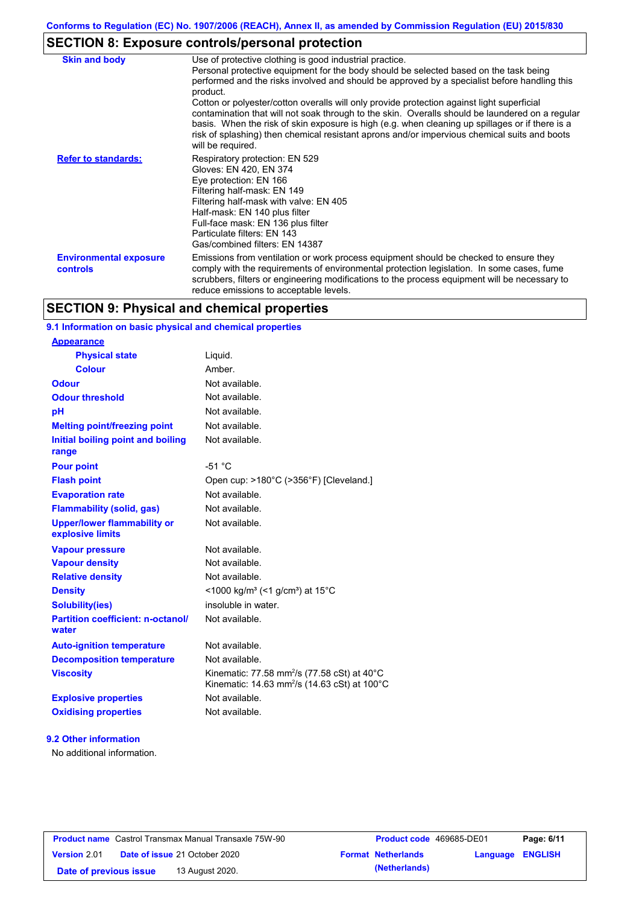# **SECTION 8: Exposure controls/personal protection**

| <b>Skin and body</b>                      | Use of protective clothing is good industrial practice.                                                                                                                                                                                                                                                                                                                                                               |
|-------------------------------------------|-----------------------------------------------------------------------------------------------------------------------------------------------------------------------------------------------------------------------------------------------------------------------------------------------------------------------------------------------------------------------------------------------------------------------|
|                                           | Personal protective equipment for the body should be selected based on the task being<br>performed and the risks involved and should be approved by a specialist before handling this<br>product.                                                                                                                                                                                                                     |
|                                           | Cotton or polyester/cotton overalls will only provide protection against light superficial<br>contamination that will not soak through to the skin. Overalls should be laundered on a regular<br>basis. When the risk of skin exposure is high (e.g. when cleaning up spillages or if there is a<br>risk of splashing) then chemical resistant aprons and/or impervious chemical suits and boots<br>will be required. |
| <b>Refer to standards:</b>                | Respiratory protection: EN 529<br>Gloves: EN 420, EN 374<br>Eye protection: EN 166<br>Filtering half-mask: EN 149<br>Filtering half-mask with valve: EN 405<br>Half-mask: EN 140 plus filter<br>Full-face mask: EN 136 plus filter<br>Particulate filters: EN 143<br>Gas/combined filters: EN 14387                                                                                                                   |
| <b>Environmental exposure</b><br>controls | Emissions from ventilation or work process equipment should be checked to ensure they<br>comply with the requirements of environmental protection legislation. In some cases, fume<br>scrubbers, filters or engineering modifications to the process equipment will be necessary to<br>reduce emissions to acceptable levels.                                                                                         |

# **SECTION 9: Physical and chemical properties**

## **9.1 Information on basic physical and chemical properties**

### **9.2 Other information**

No additional information.

| <b>Product name</b> Castrol Transmax Manual Transaxle 75W-90 |  | <b>Product code</b> 469685-DE01 |                         | Page: 6/11 |
|--------------------------------------------------------------|--|---------------------------------|-------------------------|------------|
| <b>Date of issue 21 October 2020</b><br><b>Version 2.01</b>  |  | <b>Format Netherlands</b>       | <b>Language ENGLISH</b> |            |
| 13 August 2020.<br>Date of previous issue                    |  | (Netherlands)                   |                         |            |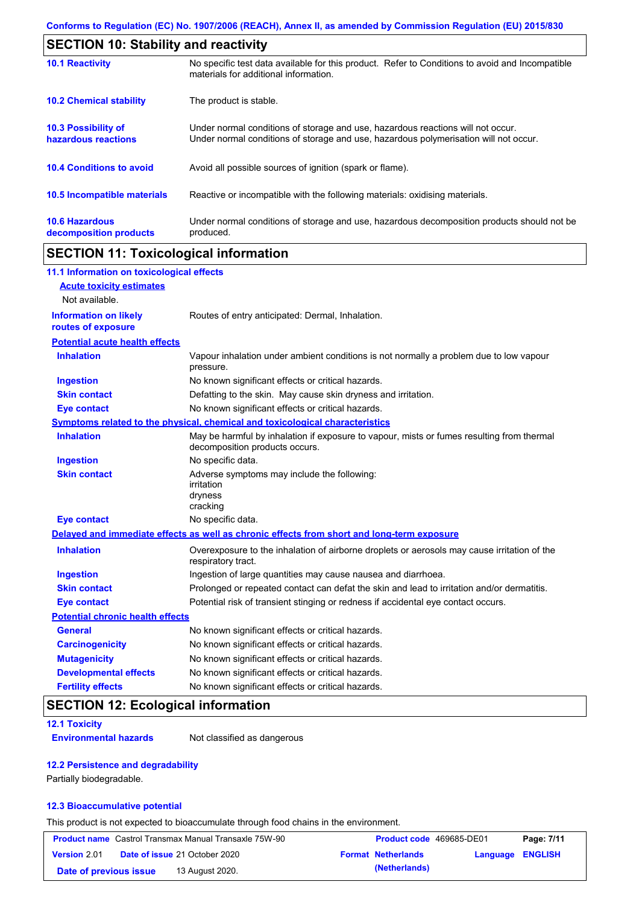| <b>SECTION 10: Stability and reactivity</b>       |                                                                                                                                                                         |
|---------------------------------------------------|-------------------------------------------------------------------------------------------------------------------------------------------------------------------------|
| <b>10.1 Reactivity</b>                            | No specific test data available for this product. Refer to Conditions to avoid and Incompatible<br>materials for additional information.                                |
| <b>10.2 Chemical stability</b>                    | The product is stable.                                                                                                                                                  |
| <b>10.3 Possibility of</b><br>hazardous reactions | Under normal conditions of storage and use, hazardous reactions will not occur.<br>Under normal conditions of storage and use, hazardous polymerisation will not occur. |
| <b>10.4 Conditions to avoid</b>                   | Avoid all possible sources of ignition (spark or flame).                                                                                                                |
| <b>10.5 Incompatible materials</b>                | Reactive or incompatible with the following materials: oxidising materials.                                                                                             |
| <b>10.6 Hazardous</b><br>decomposition products   | Under normal conditions of storage and use, hazardous decomposition products should not be<br>produced.                                                                 |

# **SECTION 11: Toxicological information**

| 11.1 Information on toxicological effects          |                                                                                                                             |
|----------------------------------------------------|-----------------------------------------------------------------------------------------------------------------------------|
| <b>Acute toxicity estimates</b>                    |                                                                                                                             |
| Not available.                                     |                                                                                                                             |
| <b>Information on likely</b><br>routes of exposure | Routes of entry anticipated: Dermal, Inhalation.                                                                            |
| <b>Potential acute health effects</b>              |                                                                                                                             |
| <b>Inhalation</b>                                  | Vapour inhalation under ambient conditions is not normally a problem due to low vapour<br>pressure.                         |
| <b>Ingestion</b>                                   | No known significant effects or critical hazards.                                                                           |
| <b>Skin contact</b>                                | Defatting to the skin. May cause skin dryness and irritation.                                                               |
| <b>Eye contact</b>                                 | No known significant effects or critical hazards.                                                                           |
|                                                    | Symptoms related to the physical, chemical and toxicological characteristics                                                |
| <b>Inhalation</b>                                  | May be harmful by inhalation if exposure to vapour, mists or fumes resulting from thermal<br>decomposition products occurs. |
| <b>Ingestion</b>                                   | No specific data.                                                                                                           |
| <b>Skin contact</b>                                | Adverse symptoms may include the following:<br>irritation<br>dryness<br>cracking                                            |
| <b>Eye contact</b>                                 | No specific data.                                                                                                           |
|                                                    | Delayed and immediate effects as well as chronic effects from short and long-term exposure                                  |
| <b>Inhalation</b>                                  | Overexposure to the inhalation of airborne droplets or aerosols may cause irritation of the<br>respiratory tract.           |
| <b>Ingestion</b>                                   | Ingestion of large quantities may cause nausea and diarrhoea.                                                               |
| <b>Skin contact</b>                                | Prolonged or repeated contact can defat the skin and lead to irritation and/or dermatitis.                                  |
| <b>Eye contact</b>                                 | Potential risk of transient stinging or redness if accidental eye contact occurs.                                           |
| <b>Potential chronic health effects</b>            |                                                                                                                             |
| <b>General</b>                                     | No known significant effects or critical hazards.                                                                           |
| <b>Carcinogenicity</b>                             | No known significant effects or critical hazards.                                                                           |
| <b>Mutagenicity</b>                                | No known significant effects or critical hazards.                                                                           |
| <b>Developmental effects</b>                       | No known significant effects or critical hazards.                                                                           |
| <b>Fertility effects</b>                           | No known significant effects or critical hazards.                                                                           |

# **SECTION 12: Ecological information**

### **12.1 Toxicity**

**Environmental hazards** Not classified as dangerous

### **12.2 Persistence and degradability**

Partially biodegradable.

### **12.3 Bioaccumulative potential**

This product is not expected to bioaccumulate through food chains in the environment.

| <b>Product name</b> Castrol Transmax Manual Transaxle 75W-90 |  | Product code 469685-DE01             |  | Page: 7/11                |                         |  |
|--------------------------------------------------------------|--|--------------------------------------|--|---------------------------|-------------------------|--|
| <b>Version 2.01</b>                                          |  | <b>Date of issue 21 October 2020</b> |  | <b>Format Netherlands</b> | <b>Language ENGLISH</b> |  |
| Date of previous issue                                       |  | 13 August 2020.                      |  | (Netherlands)             |                         |  |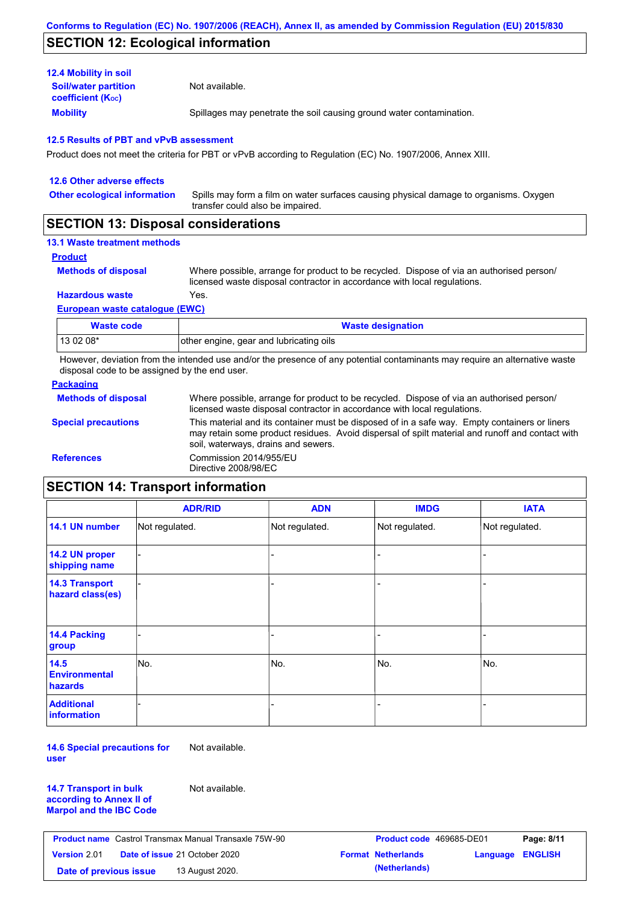# **SECTION 12: Ecological information**

| <b>12.4 Mobility in soil</b>                            |                                                                      |
|---------------------------------------------------------|----------------------------------------------------------------------|
| <b>Soil/water partition</b><br><b>coefficient (Koc)</b> | Not available.                                                       |
| <b>Mobility</b>                                         | Spillages may penetrate the soil causing ground water contamination. |

#### **12.5 Results of PBT and vPvB assessment**

Product does not meet the criteria for PBT or vPvB according to Regulation (EC) No. 1907/2006, Annex XIII.

| 12.6 Other adverse effects          |                                                                                                                           |
|-------------------------------------|---------------------------------------------------------------------------------------------------------------------------|
| <b>Other ecological information</b> | Spills may form a film on water surfaces causing physical damage to organisms. Oxygen<br>transfer could also be impaired. |
|                                     |                                                                                                                           |

## **SECTION 13: Disposal considerations**

## **13.1 Waste treatment methods**

**Product**

**Methods of disposal**

Where possible, arrange for product to be recycled. Dispose of via an authorised person/ licensed waste disposal contractor in accordance with local regulations.

**Hazardous waste** Yes.

#### **European waste catalogue (EWC)**

| Waste code | <b>Waste designation</b>                |
|------------|-----------------------------------------|
| 13 02 08*  | other engine, gear and lubricating oils |

However, deviation from the intended use and/or the presence of any potential contaminants may require an alternative waste disposal code to be assigned by the end user.

### **Packaging**

| <b>Methods of disposal</b> | Where possible, arrange for product to be recycled. Dispose of via an authorised person/<br>licensed waste disposal contractor in accordance with local regulations.                                                                    |
|----------------------------|-----------------------------------------------------------------------------------------------------------------------------------------------------------------------------------------------------------------------------------------|
| <b>Special precautions</b> | This material and its container must be disposed of in a safe way. Empty containers or liners<br>may retain some product residues. Avoid dispersal of spilt material and runoff and contact with<br>soil, waterways, drains and sewers. |
| <b>References</b>          | Commission 2014/955/EU<br>Directive 2008/98/EC                                                                                                                                                                                          |

# **SECTION 14: Transport information**

|                                                | <b>ADR/RID</b> | <b>ADN</b>     | <b>IMDG</b>    | <b>IATA</b>    |
|------------------------------------------------|----------------|----------------|----------------|----------------|
| 14.1 UN number                                 | Not regulated. | Not regulated. | Not regulated. | Not regulated. |
| 14.2 UN proper<br>shipping name                |                |                | -              |                |
| <b>14.3 Transport</b><br>hazard class(es)      |                |                |                |                |
| 14.4 Packing<br>group                          |                |                |                |                |
| 14.5<br><b>Environmental</b><br><b>hazards</b> | No.            | No.            | No.            | No.            |
| <b>Additional</b><br>information               |                |                |                |                |

**14.6 Special precautions for user** Not available.

**14.7 Transport in bulk according to Annex II of Marpol and the IBC Code** Not available.

|                        | <b>Product name</b> Castrol Transmax Manual Transaxle 75W-90 | <b>Product code</b> 469685-DE01 |                         | Page: 8/11 |
|------------------------|--------------------------------------------------------------|---------------------------------|-------------------------|------------|
| <b>Version 2.01</b>    | <b>Date of issue 21 October 2020</b>                         | <b>Format Netherlands</b>       | <b>Language ENGLISH</b> |            |
| Date of previous issue | 13 August 2020.                                              | (Netherlands)                   |                         |            |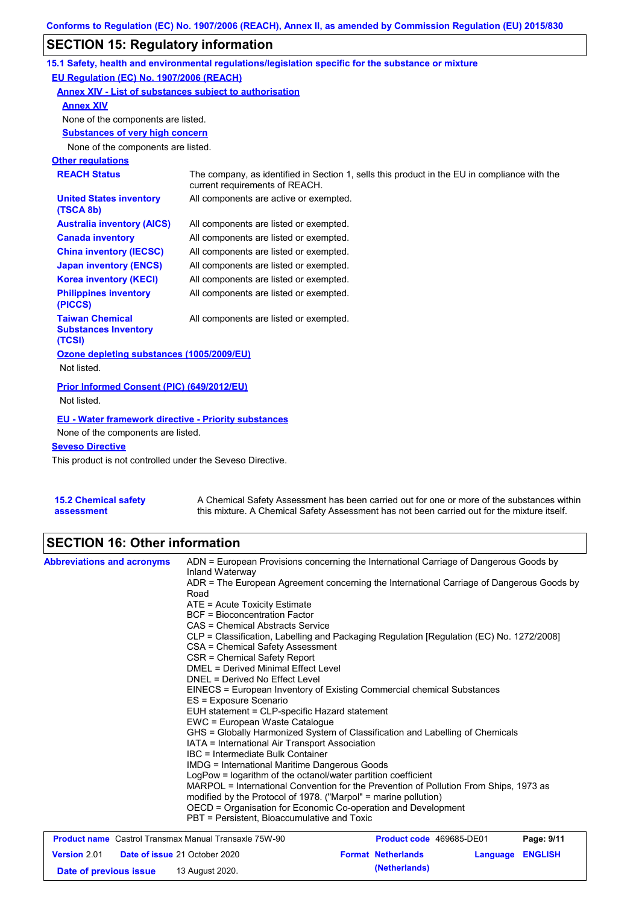# **SECTION 15: Regulatory information**

|                                                                 | 15.1 Safety, health and environmental regulations/legislation specific for the substance or mixture                            |
|-----------------------------------------------------------------|--------------------------------------------------------------------------------------------------------------------------------|
| EU Regulation (EC) No. 1907/2006 (REACH)                        |                                                                                                                                |
| Annex XIV - List of substances subject to authorisation         |                                                                                                                                |
| <b>Annex XIV</b>                                                |                                                                                                                                |
| None of the components are listed.                              |                                                                                                                                |
| <b>Substances of very high concern</b>                          |                                                                                                                                |
| None of the components are listed.                              |                                                                                                                                |
| <b>Other regulations</b>                                        |                                                                                                                                |
| <b>REACH Status</b>                                             | The company, as identified in Section 1, sells this product in the EU in compliance with the<br>current requirements of REACH. |
| <b>United States inventory</b><br>(TSCA 8b)                     | All components are active or exempted.                                                                                         |
| <b>Australia inventory (AICS)</b>                               | All components are listed or exempted.                                                                                         |
| <b>Canada inventory</b>                                         | All components are listed or exempted.                                                                                         |
| <b>China inventory (IECSC)</b>                                  | All components are listed or exempted.                                                                                         |
| <b>Japan inventory (ENCS)</b>                                   | All components are listed or exempted.                                                                                         |
| <b>Korea inventory (KECI)</b>                                   | All components are listed or exempted.                                                                                         |
| <b>Philippines inventory</b><br>(PICCS)                         | All components are listed or exempted.                                                                                         |
| <b>Taiwan Chemical</b><br><b>Substances Inventory</b><br>(TCSI) | All components are listed or exempted.                                                                                         |
| Ozone depleting substances (1005/2009/EU)                       |                                                                                                                                |
| Not listed.                                                     |                                                                                                                                |
| Prior Informed Consent (PIC) (649/2012/EU)<br>Not listed.       |                                                                                                                                |
|                                                                 |                                                                                                                                |
| <b>EU - Water framework directive - Priority substances</b>     |                                                                                                                                |
| None of the components are listed.                              |                                                                                                                                |
| <b>Seveso Directive</b>                                         |                                                                                                                                |

This product is not controlled under the Seveso Directive.

| <b>15.2 Chemical safety</b> | A Chemical Safety Assessment has been carried out for one or more of the substances within  |
|-----------------------------|---------------------------------------------------------------------------------------------|
| assessment                  | this mixture. A Chemical Safety Assessment has not been carried out for the mixture itself. |

# **SECTION 16: Other information**

| <b>Abbreviations and acronyms</b> | Inland Waterway                                                                                                                                                                                                                                                                              | ADN = European Provisions concerning the International Carriage of Dangerous Goods by    |                         |  |                                                              |                                             |                          |  |            |
|-----------------------------------|----------------------------------------------------------------------------------------------------------------------------------------------------------------------------------------------------------------------------------------------------------------------------------------------|------------------------------------------------------------------------------------------|-------------------------|--|--------------------------------------------------------------|---------------------------------------------|--------------------------|--|------------|
|                                   | Road                                                                                                                                                                                                                                                                                         | ADR = The European Agreement concerning the International Carriage of Dangerous Goods by |                         |  |                                                              |                                             |                          |  |            |
|                                   | $ATE = Acute Toxicity Estimate$                                                                                                                                                                                                                                                              |                                                                                          |                         |  |                                                              |                                             |                          |  |            |
|                                   | BCF = Bioconcentration Factor                                                                                                                                                                                                                                                                |                                                                                          |                         |  |                                                              |                                             |                          |  |            |
|                                   | CAS = Chemical Abstracts Service                                                                                                                                                                                                                                                             |                                                                                          |                         |  |                                                              |                                             |                          |  |            |
|                                   | CLP = Classification, Labelling and Packaging Regulation [Regulation (EC) No. 1272/2008]                                                                                                                                                                                                     |                                                                                          |                         |  |                                                              |                                             |                          |  |            |
|                                   | CSA = Chemical Safety Assessment                                                                                                                                                                                                                                                             |                                                                                          |                         |  |                                                              |                                             |                          |  |            |
|                                   | CSR = Chemical Safety Report<br>DMEL = Derived Minimal Effect Level<br>DNEL = Derived No Effect Level<br>EINECS = European Inventory of Existing Commercial chemical Substances<br>ES = Exposure Scenario<br>EUH statement = CLP-specific Hazard statement<br>EWC = European Waste Catalogue |                                                                                          |                         |  |                                                              |                                             |                          |  |            |
|                                   |                                                                                                                                                                                                                                                                                              |                                                                                          |                         |  |                                                              |                                             |                          |  |            |
|                                   |                                                                                                                                                                                                                                                                                              |                                                                                          |                         |  |                                                              |                                             |                          |  |            |
|                                   |                                                                                                                                                                                                                                                                                              |                                                                                          |                         |  |                                                              |                                             |                          |  |            |
|                                   |                                                                                                                                                                                                                                                                                              |                                                                                          |                         |  |                                                              |                                             |                          |  |            |
|                                   |                                                                                                                                                                                                                                                                                              |                                                                                          |                         |  |                                                              |                                             |                          |  |            |
|                                   |                                                                                                                                                                                                                                                                                              |                                                                                          |                         |  |                                                              |                                             |                          |  |            |
|                                   |                                                                                                                                                                                                                                                                                              | GHS = Globally Harmonized System of Classification and Labelling of Chemicals            |                         |  |                                                              |                                             |                          |  |            |
|                                   | IATA = International Air Transport Association<br>IBC = Intermediate Bulk Container<br><b>IMDG = International Maritime Dangerous Goods</b>                                                                                                                                                  |                                                                                          |                         |  |                                                              |                                             |                          |  |            |
|                                   |                                                                                                                                                                                                                                                                                              |                                                                                          |                         |  |                                                              |                                             |                          |  |            |
|                                   |                                                                                                                                                                                                                                                                                              |                                                                                          |                         |  |                                                              |                                             |                          |  |            |
|                                   | LogPow = logarithm of the octanol/water partition coefficient<br>MARPOL = International Convention for the Prevention of Pollution From Ships, 1973 as<br>modified by the Protocol of 1978. ("Marpol" = marine pollution)<br>OECD = Organisation for Economic Co-operation and Development   |                                                                                          |                         |  |                                                              |                                             |                          |  |            |
|                                   |                                                                                                                                                                                                                                                                                              |                                                                                          |                         |  |                                                              |                                             |                          |  |            |
|                                   |                                                                                                                                                                                                                                                                                              |                                                                                          |                         |  |                                                              | PBT = Persistent, Bioaccumulative and Toxic |                          |  |            |
|                                   |                                                                                                                                                                                                                                                                                              |                                                                                          |                         |  | <b>Product name</b> Castrol Transmax Manual Transaxle 75W-90 |                                             | Product code 469685-DE01 |  | Page: 9/11 |
| <b>Version 2.01</b>               | <b>Date of issue 21 October 2020</b>                                                                                                                                                                                                                                                         | <b>Format Netherlands</b>                                                                | <b>Language ENGLISH</b> |  |                                                              |                                             |                          |  |            |

**Date of previous issue 13 August 2020. (Netherlands)**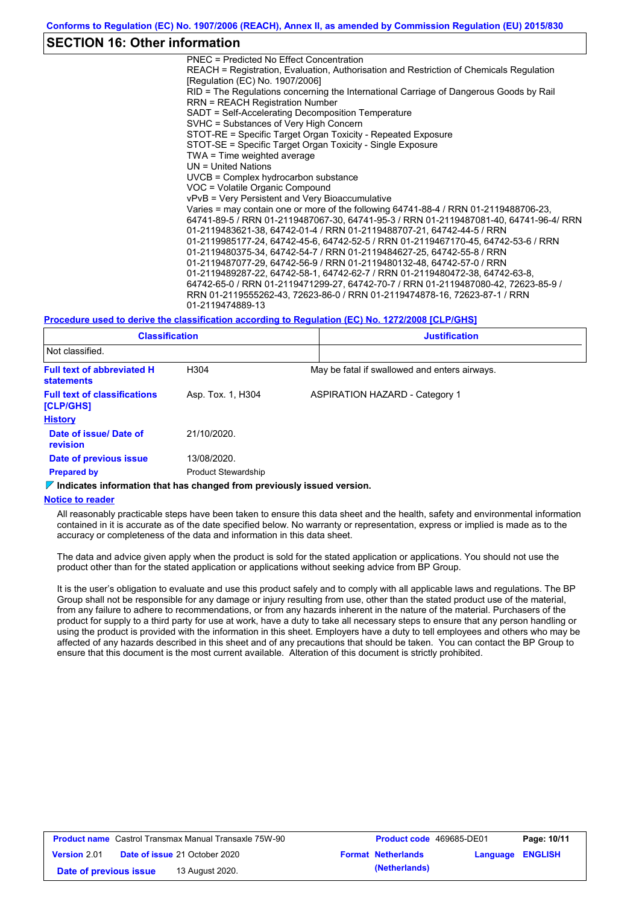## **SECTION 16: Other information**

PNEC = Predicted No Effect Concentration REACH = Registration, Evaluation, Authorisation and Restriction of Chemicals Regulation [Regulation (EC) No. 1907/2006] RID = The Regulations concerning the International Carriage of Dangerous Goods by Rail RRN = REACH Registration Number SADT = Self-Accelerating Decomposition Temperature SVHC = Substances of Very High Concern STOT-RE = Specific Target Organ Toxicity - Repeated Exposure STOT-SE = Specific Target Organ Toxicity - Single Exposure TWA = Time weighted average UN = United Nations UVCB = Complex hydrocarbon substance VOC = Volatile Organic Compound vPvB = Very Persistent and Very Bioaccumulative Varies = may contain one or more of the following 64741-88-4 / RRN 01-2119488706-23, 64741-89-5 / RRN 01-2119487067-30, 64741-95-3 / RRN 01-2119487081-40, 64741-96-4/ RRN 01-2119483621-38, 64742-01-4 / RRN 01-2119488707-21, 64742-44-5 / RRN 01-2119985177-24, 64742-45-6, 64742-52-5 / RRN 01-2119467170-45, 64742-53-6 / RRN 01-2119480375-34, 64742-54-7 / RRN 01-2119484627-25, 64742-55-8 / RRN 01-2119487077-29, 64742-56-9 / RRN 01-2119480132-48, 64742-57-0 / RRN 01-2119489287-22, 64742-58-1, 64742-62-7 / RRN 01-2119480472-38, 64742-63-8, 64742-65-0 / RRN 01-2119471299-27, 64742-70-7 / RRN 01-2119487080-42, 72623-85-9 / RRN 01-2119555262-43, 72623-86-0 / RRN 01-2119474878-16, 72623-87-1 / RRN 01-2119474889-13

#### **Procedure used to derive the classification according to Regulation (EC) No. 1272/2008 [CLP/GHS]**

| <b>Classification</b><br>Not classified.               |                            | <b>Justification</b>                          |
|--------------------------------------------------------|----------------------------|-----------------------------------------------|
|                                                        |                            |                                               |
| <b>Full text of abbreviated H</b><br><b>statements</b> | H304                       | May be fatal if swallowed and enters airways. |
| <b>Full text of classifications</b><br>[CLP/GHS]       | Asp. Tox. 1, H304          | <b>ASPIRATION HAZARD - Category 1</b>         |
| <b>History</b>                                         |                            |                                               |
| Date of issue/ Date of<br>revision                     | 21/10/2020.                |                                               |
| Date of previous issue                                 | 13/08/2020.                |                                               |
| <b>Prepared by</b>                                     | <b>Product Stewardship</b> |                                               |

#### **Indicates information that has changed from previously issued version.**

#### **Notice to reader**

All reasonably practicable steps have been taken to ensure this data sheet and the health, safety and environmental information contained in it is accurate as of the date specified below. No warranty or representation, express or implied is made as to the accuracy or completeness of the data and information in this data sheet.

The data and advice given apply when the product is sold for the stated application or applications. You should not use the product other than for the stated application or applications without seeking advice from BP Group.

It is the user's obligation to evaluate and use this product safely and to comply with all applicable laws and regulations. The BP Group shall not be responsible for any damage or injury resulting from use, other than the stated product use of the material, from any failure to adhere to recommendations, or from any hazards inherent in the nature of the material. Purchasers of the product for supply to a third party for use at work, have a duty to take all necessary steps to ensure that any person handling or using the product is provided with the information in this sheet. Employers have a duty to tell employees and others who may be affected of any hazards described in this sheet and of any precautions that should be taken. You can contact the BP Group to ensure that this document is the most current available. Alteration of this document is strictly prohibited.

| <b>Product name</b> Castrol Transmax Manual Transaxle 75W-90 |  | <b>Product code</b> 469685-DE01      |  | Page: 10/11               |                         |  |
|--------------------------------------------------------------|--|--------------------------------------|--|---------------------------|-------------------------|--|
| <b>Version 2.01</b>                                          |  | <b>Date of issue 21 October 2020</b> |  | <b>Format Netherlands</b> | <b>Language ENGLISH</b> |  |
| Date of previous issue                                       |  | 13 August 2020.                      |  | (Netherlands)             |                         |  |